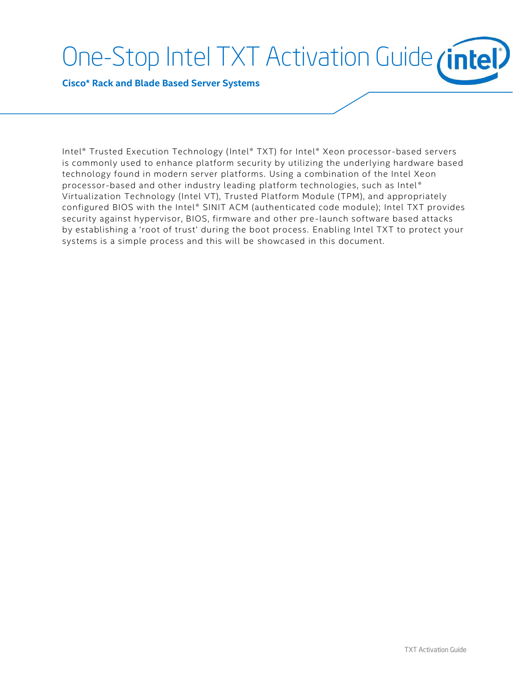# One-Stop Intel TXT Activation Guide *(intel)*

**Cisco\* Rack and Blade Based Server Systems**

Intel® Trusted Execution Technology (Intel® TXT) for Intel® Xeon processor-based servers is commonly used to enhance platform security by utilizing the underlying hardware based technology found in modern server platforms. Using a combination of the Intel Xeon processor-based and other industry leading platform technologies, such as Intel® Virtualization Technology (Intel VT), Trusted Platform Module (TPM), and appropriately configured BIOS with the Intel® SINIT ACM (authenticated code module); Intel TXT provides security against hypervisor, BIOS, firmware and other pre -launch software based attacks by establishing a 'root of trust' during the boot process. Enabling Intel TXT to protect your systems is a simple process and this will be showcased in this document.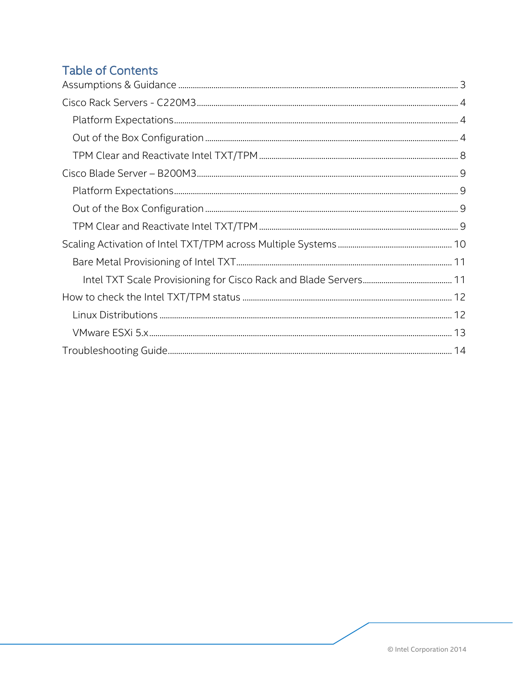# **Table of Contents**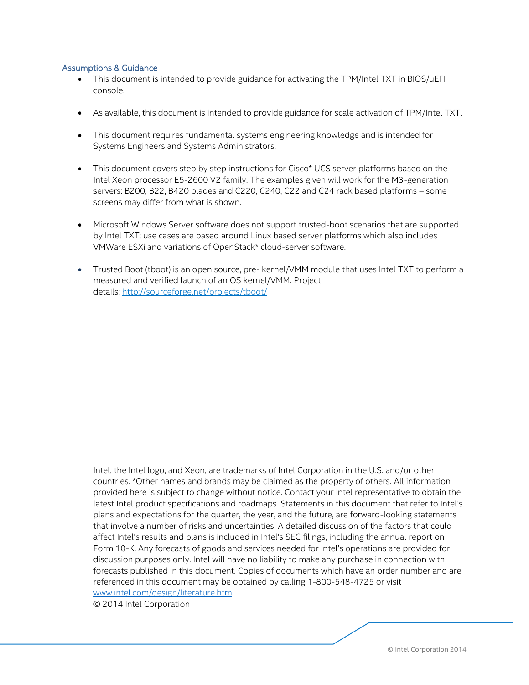## <span id="page-2-0"></span>Assumptions & Guidance

- This document is intended to provide guidance for activating the TPM/Intel TXT in BIOS/uEFI console.
- As available, this document is intended to provide guidance for scale activation of TPM/Intel TXT.
- This document requires fundamental systems engineering knowledge and is intended for Systems Engineers and Systems Administrators.
- This document covers step by step instructions for Cisco\* UCS server platforms based on the Intel Xeon processor E5-2600 V2 family. The examples given will work for the M3-generation servers: B200, B22, B420 blades and C220, C240, C22 and C24 rack based platforms – some screens may differ from what is shown.
- Microsoft Windows Server software does not support trusted-boot scenarios that are supported by Intel TXT; use cases are based around Linux based server platforms which also includes VMWare ESXi and variations of OpenStack\* cloud-server software.
- Trusted Boot (tboot) is an open source, pre- kernel/VMM module that uses Intel TXT to perform a measured and verified launch of an OS kernel/VMM. Project details: <http://sourceforge.net/projects/tboot/>

Intel, the Intel logo, and Xeon, are trademarks of Intel Corporation in the U.S. and/or other countries. \*Other names and brands may be claimed as the property of others. All information provided here is subject to change without notice. Contact your Intel representative to obtain the latest Intel product specifications and roadmaps. Statements in this document that refer to Intel's plans and expectations for the quarter, the year, and the future, are forward-looking statements that involve a number of risks and uncertainties. A detailed discussion of the factors that could affect Intel's results and plans is included in Intel's SEC filings, including the annual report on Form 10-K. Any forecasts of goods and services needed for Intel's operations are provided for discussion purposes only. Intel will have no liability to make any purchase in connection with forecasts published in this document. Copies of documents which have an order number and are referenced in this document may be obtained by calling 1-800-548-4725 or visit [www.intel.com/design/literature.htm.](http://www.intel.com/design/literature.htm)

© 2014 Intel Corporation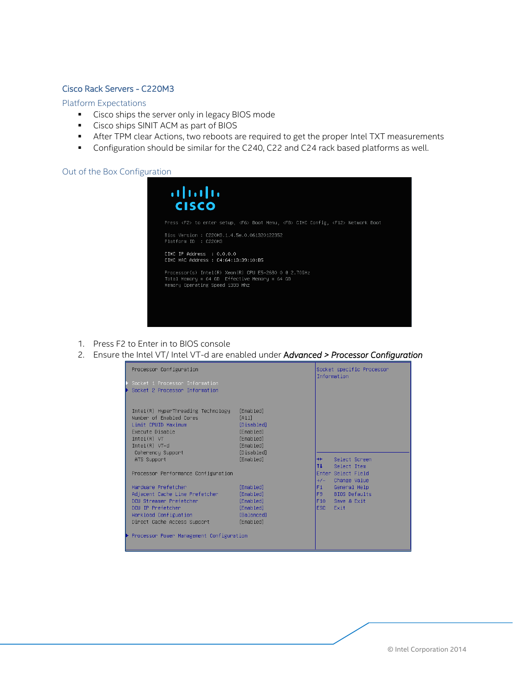## <span id="page-3-0"></span>Cisco Rack Servers - C220M3

#### <span id="page-3-1"></span>Platform Expectations

- **Cisco ships the server only in legacy BIOS mode**
- **Cisco ships SINIT ACM as part of BIOS**
- After TPM clear Actions, two reboots are required to get the proper Intel TXT measurements
- **Configuration should be similar for the C240, C22 and C24 rack based platforms as well.**

## <span id="page-3-2"></span>Out of the Box Configuration

| Press <f2> to enter setup, <f6> Boot Menu, <f8> CIMC Config, <f12> Network Boot<br/>Bios Version : C220M3.1.4.5e.0.061320122352<br/>Platform ID : C220M3<br/><math>CIMC</math> TP Address <math>\therefore</math> 0.0.0.0<br/>CIMC MAC Address : C4:64:13:39:10:B5<br/>Processor(s) Intel(R) Xeon(R) CPU E5-2680 0 @ 2.70GHz<br/>Total Memory = 64 GB Effective Memory = 64 GB<br/>Memory Operating Speed 1333 Mhz</f12></f8></f6></f2> | $\cdot$ l $\cdot$ l $\cdot$<br><b>CISCO</b> |  |
|-----------------------------------------------------------------------------------------------------------------------------------------------------------------------------------------------------------------------------------------------------------------------------------------------------------------------------------------------------------------------------------------------------------------------------------------|---------------------------------------------|--|
|                                                                                                                                                                                                                                                                                                                                                                                                                                         |                                             |  |
|                                                                                                                                                                                                                                                                                                                                                                                                                                         |                                             |  |
|                                                                                                                                                                                                                                                                                                                                                                                                                                         |                                             |  |
|                                                                                                                                                                                                                                                                                                                                                                                                                                         |                                             |  |

- 1. Press F2 to Enter in to BIOS console
- 2. Ensure the Intel VT/ Intel VT-d are enabled under A*dvanced > Processor Configuration*

| Processor Configuration                                   |                        |             | Socket specific Processor<br>Information |
|-----------------------------------------------------------|------------------------|-------------|------------------------------------------|
| ▶ Socket 1 Processor Information                          |                        |             |                                          |
| ▶ Socket 2 Processor Information                          |                        |             |                                          |
|                                                           |                        |             |                                          |
|                                                           |                        |             |                                          |
| Intel(R) HyperThreading Technology                        | [Enabled]              |             |                                          |
| Number of Enabled Cores<br>Limit CPUID Maximum            | [A11]<br>[Disabled]    |             |                                          |
| Execute Disable                                           | [Enabled]              |             |                                          |
| Intel(R) VI                                               | [Enabled]              |             |                                          |
| $Intel(R) VT-d$                                           | [Enabled]              |             |                                          |
| Coherency Support                                         | [Disabled]             |             |                                          |
| ATS Support                                               | [Enabled]              | $++$        | Select Screen                            |
|                                                           |                        | 11          | Select Item                              |
| Processor Performance Configuration                       |                        |             | Enter Select Field                       |
|                                                           |                        | $+/-$       | Change Value                             |
| Handware Prefetcher                                       | [Enabled]              | F1          | General Help                             |
| Adjacent Cache Line Prefetcher<br>DCU Streamer Prefetcher | [Enabled]<br>[Enabled] | F9 -<br>F10 | <b>BIOS Defaults</b><br>Save & Exit      |
| DCU IP Prefetcher                                         | [Enabled]              | ESC.        | Exit                                     |
| Workload Configuation                                     | [Balanced]             |             |                                          |
| Direct Cache Access Support                               | [Enabled]              |             |                                          |
|                                                           |                        |             |                                          |
| ▶ Processor Power Management Configuration                |                        |             |                                          |
|                                                           |                        |             |                                          |
|                                                           |                        |             |                                          |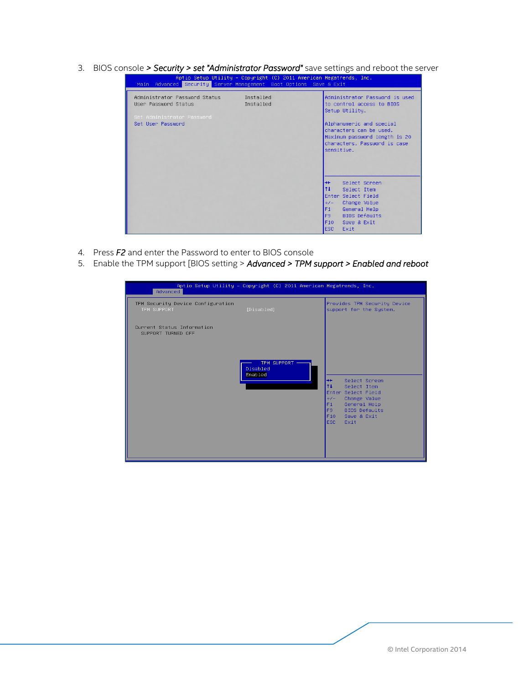3. BIOS console *> Security > set "Administrator Password"* save settings and reboot the server

|                                                                                                          | Aptio Setup Utility – Copyright (C) 2011 American Megatrends, Inc.<br>Main Advanced Security Server Management Boot Options Save & Exit                                                                                                       |
|----------------------------------------------------------------------------------------------------------|-----------------------------------------------------------------------------------------------------------------------------------------------------------------------------------------------------------------------------------------------|
| Administrator Password Status<br>User Password Status<br>Set Administrator Password<br>Set User Password | Administrator Password is used<br>Installed<br>Installed<br>to control access to BIOS<br>Setup Utility.<br>Alphanumeric and special<br>characters can be used.<br>Maximum password length is 20<br>characters. Password is case<br>sensitive. |
|                                                                                                          | Select Screen<br>$++$<br>11<br>Select Ttem<br>Enter Select Field<br>Change Value<br>$+/-$<br>F1<br>General Help<br>F9<br><b>BIOS Defaults</b><br>F10<br>Save & Exit<br>ESC.<br>Exit                                                           |

- 4. Press *F2* and enter the Password to enter to BIOS console
- 5. Enable the TPM support [BIOS setting > *Advanced > TPM support > Enabled and reboot*

| Advanced                                         | Aptio Setup Utility - Copyright (C) 2011 American Megatrends, Inc. |                                                                                                                                                                                                 |
|--------------------------------------------------|--------------------------------------------------------------------|-------------------------------------------------------------------------------------------------------------------------------------------------------------------------------------------------|
| TPM Security Device Configuration<br>TPM SUPPORT | [Disabled]                                                         | Provides TPM Security Device<br>support for the System.                                                                                                                                         |
| Current Status Information<br>SUPPORT TURNED OFF | TPM SUPPORT -<br>Disabled<br>Enabled                               | $++$<br>Select Screen<br>11<br>Select Item<br>Enter Select Field<br>Change Value<br>$+/-$<br>F1<br>General Help<br><b>BIOS Defaults</b><br>F <sub>9</sub><br>F10<br>Save & Exit<br>ESC.<br>Exit |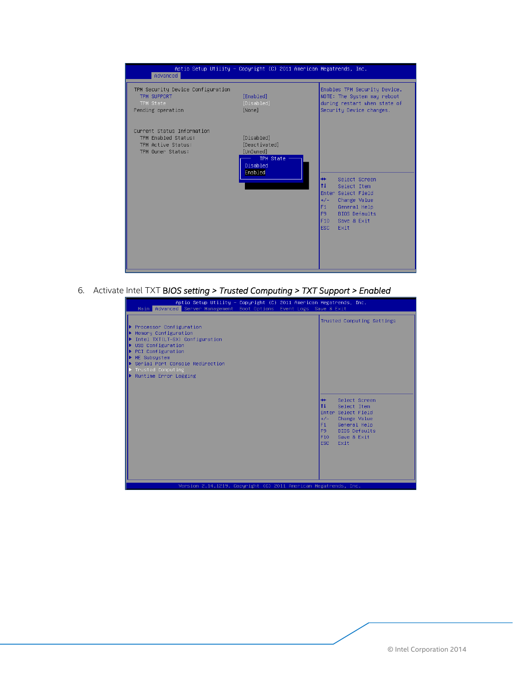

6. Activate Intel TXT B*IOS setting > Trusted Computing > TXT Support > Enabled*

| Aptio Setup Utility – Copyright (C) 2011 American Megatrends, Inc.<br>Main Advanced Server Management Boot Options Event Logs Save & Exit                                                                                          |  |                                                                                                                                                                                      |
|------------------------------------------------------------------------------------------------------------------------------------------------------------------------------------------------------------------------------------|--|--------------------------------------------------------------------------------------------------------------------------------------------------------------------------------------|
| ▶ Processor Configuration<br>Memory Configuration<br>Intel TXT(LT-SX) Configuration<br>USB Configuration<br>PCI Configuration<br>ME Subsystem<br>▶ Serial Port Console Redirection<br>Trusted Computing<br>▶ Runtime Error Logging |  | Trusted Computing Settings                                                                                                                                                           |
|                                                                                                                                                                                                                                    |  | Select Screen<br>$+ +$<br>11<br>Select Item<br>Enter Select Field<br>Change Value<br>$+/-$<br>General Help<br>F1<br><b>BIOS Defaults</b><br>F9<br>F10<br>Save & Exit<br>ESC.<br>Exit |
| Version 2.14.1219. Copyright (C) 2011 American Megatrends, Inc.                                                                                                                                                                    |  |                                                                                                                                                                                      |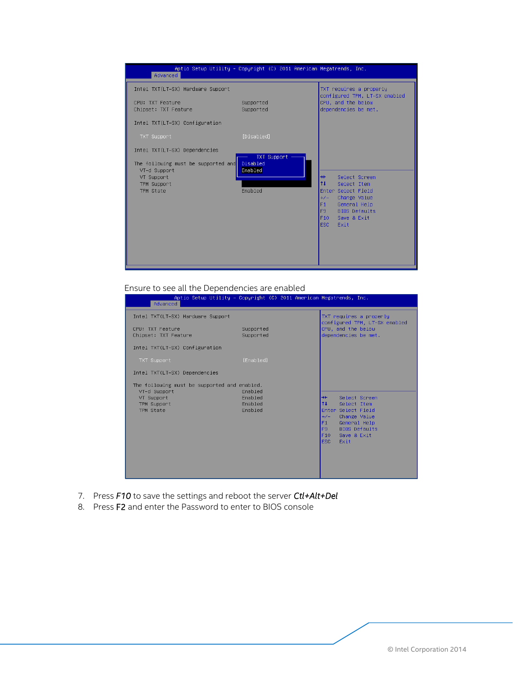

#### Ensure to see all the Dependencies are enabled

| Advanced                                                                                               | Aptio Setup Utility – Copyright (C) 2011 American Megatrends, Inc. |                                                                                                                                                                                    |
|--------------------------------------------------------------------------------------------------------|--------------------------------------------------------------------|------------------------------------------------------------------------------------------------------------------------------------------------------------------------------------|
| Intel TXT(LT-SX) Hardware Support                                                                      |                                                                    | TXT requires a properly<br>configured TPM, LT-SX enabled                                                                                                                           |
| CPU: TXT Feature<br>Chipset: TXT Feature                                                               | Supported<br>Supported                                             | CPU, and the below<br>dependencies be met.                                                                                                                                         |
| Intel TXT(LT-SX) Configuration                                                                         |                                                                    |                                                                                                                                                                                    |
| TXT Support                                                                                            | [Enabled]                                                          |                                                                                                                                                                                    |
| Intel TXT(LT-SX) Dependencies                                                                          |                                                                    |                                                                                                                                                                                    |
| The following must be supported and enabled.<br>VT-d Support<br>VT Support<br>TPM Support<br>TPM State | Enabled<br>Enabled<br>Enabled<br>Enabled                           | Select Screen<br>$+$<br>11<br>Select Item<br>Enter Select Field<br>Change Value<br>$+/-$<br>General Help<br>F1<br><b>BIOS Defaults</b><br>F9<br>F10<br>Save & Exit<br>ESC-<br>Exit |

- 7. Press *F10* to save the settings and reboot the server *Ctl+Alt+Del*
- 8. Press F2 and enter the Password to enter to BIOS console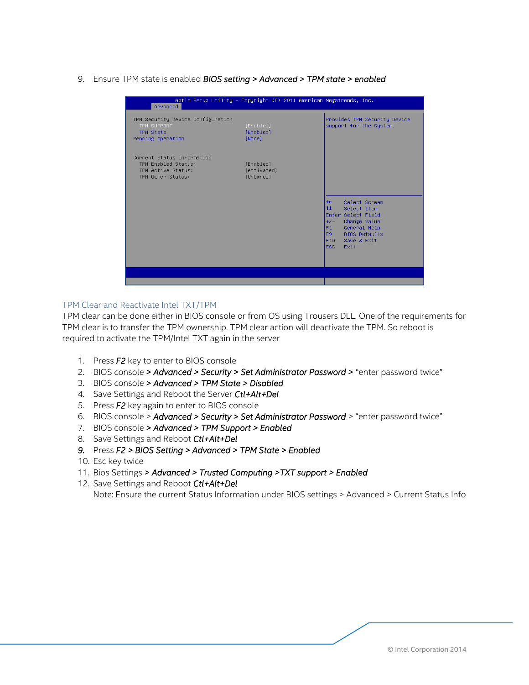9. Ensure TPM state is enabled *BIOS setting > Advanced > TPM state > enabled*

| Aptio Setup Utility – Copyright (C) 2011 American Megatrends, Inc. |                                                                                                                                                                                                          |
|--------------------------------------------------------------------|----------------------------------------------------------------------------------------------------------------------------------------------------------------------------------------------------------|
| [Enabled]<br>[Enabled]<br>[None]                                   | Provides TPM Security Device<br>support for the System.                                                                                                                                                  |
| [Enabled]<br>[Activated]<br>[Un0wned]                              |                                                                                                                                                                                                          |
|                                                                    | $++$<br>Select Screen<br>l tu<br>Select Item<br>Enter Select Field<br>$+/-$<br>Change Value<br>F <sub>1</sub><br>General Help<br><b>BIOS Defaults</b><br>F9.<br>F10<br>Save & Exit<br><b>ESC</b><br>Exit |
|                                                                    |                                                                                                                                                                                                          |
|                                                                    |                                                                                                                                                                                                          |

## <span id="page-7-0"></span>TPM Clear and Reactivate Intel TXT/TPM

TPM clear can be done either in BIOS console or from OS using Trousers DLL. One of the requirements for TPM clear is to transfer the TPM ownership. TPM clear action will deactivate the TPM. So reboot is required to activate the TPM/Intel TXT again in the server

- 1. Press *F2* key to enter to BIOS console
- 2. BIOS console *> Advanced > Security > Set Administrator Password >* "enter password twice"
- 3. BIOS console *> Advanced > TPM State > Disabled*
- 4. Save Settings and Reboot the Server *Ctl+Alt+Del*
- 5. Press *F2* key again to enter to BIOS console
- 6. BIOS console > *Advanced > Security > Set Administrator Password* > "enter password twice"
- 7. BIOS console *> Advanced > TPM Support > Enabled*
- 8. Save Settings and Reboot *Ctl+Alt+Del*
- *9.* Press *F2 > BIOS Setting > Advanced > TPM State > Enabled*
- 10. Esc key twice
- 11. Bios Settings *> Advanced > Trusted Computing >TXT support > Enabled*

12. Save Settings and Reboot *Ctl+Alt+Del* Note: Ensure the current Status Information under BIOS settings > Advanced > Current Status Info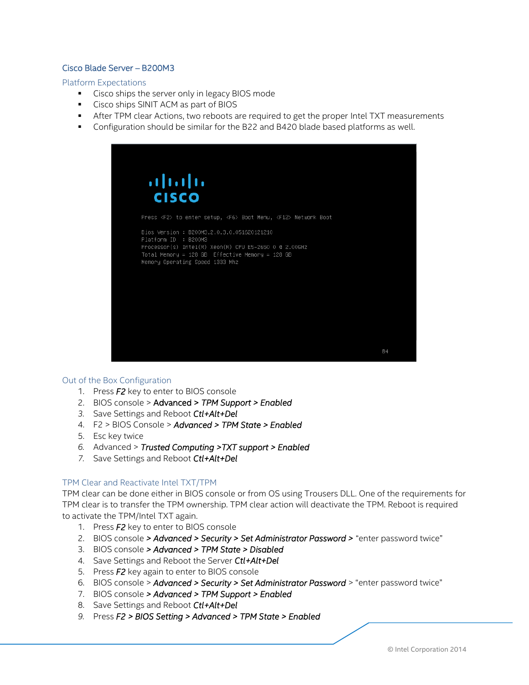## <span id="page-8-0"></span>Cisco Blade Server – B200M3

<span id="page-8-1"></span>Platform Expectations

- **Cisco ships the server only in legacy BIOS mode**
- Cisco ships SINIT ACM as part of BIOS
- **F** After TPM clear Actions, two reboots are required to get the proper Intel TXT measurements
- Configuration should be similar for the B22 and B420 blade based platforms as well.



#### <span id="page-8-2"></span>Out of the Box Configuration

- 1. Press *F2* key to enter to BIOS console
- 2. BIOS console > Advanced > *TPM Support > Enabled*
- *3.* Save Settings and Reboot *Ctl+Alt+Del*
- 4. F2 > BIOS Console > *Advanced > TPM State > Enabled*
- 5. Esc key twice
- *6.* Advanced > *Trusted Computing >TXT support > Enabled*
- *7.* Save Settings and Reboot *Ctl+Alt+Del*

## <span id="page-8-3"></span>TPM Clear and Reactivate Intel TXT/TPM

TPM clear can be done either in BIOS console or from OS using Trousers DLL. One of the requirements for TPM clear is to transfer the TPM ownership. TPM clear action will deactivate the TPM. Reboot is required to activate the TPM/Intel TXT again.

- 1. Press *F2* key to enter to BIOS console
- 2. BIOS console *> Advanced > Security > Set Administrator Password >* "enter password twice"
- 3. BIOS console *> Advanced > TPM State > Disabled*
- 4. Save Settings and Reboot the Server *Ctl+Alt+Del*
- 5. Press *F2* key again to enter to BIOS console
- 6. BIOS console > *Advanced > Security > Set Administrator Password* > "enter password twice"
- 7. BIOS console *> Advanced > TPM Support > Enabled*
- 8. Save Settings and Reboot *Ctl+Alt+Del*
- *9.* Press *F2 > BIOS Setting > Advanced > TPM State > Enabled*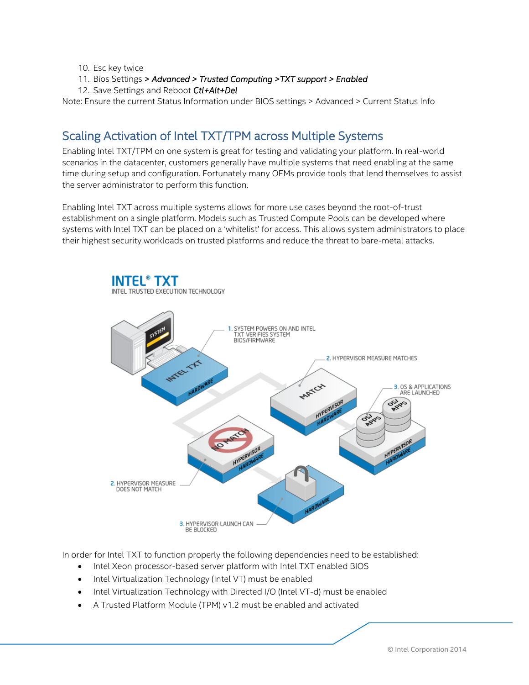- 10. Esc key twice
- 11. Bios Settings *> Advanced > Trusted Computing >TXT support > Enabled*
- 12. Save Settings and Reboot *Ctl+Alt+Del*

<span id="page-9-0"></span>Note: Ensure the current Status Information under BIOS settings > Advanced > Current Status Info

## Scaling Activation of Intel TXT/TPM across Multiple Systems

Enabling Intel TXT/TPM on one system is great for testing and validating your platform. In real-world scenarios in the datacenter, customers generally have multiple systems that need enabling at the same time during setup and configuration. Fortunately many OEMs provide tools that lend themselves to assist the server administrator to perform this function.

Enabling Intel TXT across multiple systems allows for more use cases beyond the root-of-trust establishment on a single platform. Models such as Trusted Compute Pools can be developed where systems with Intel TXT can be placed on a 'whitelist' for access. This allows system administrators to place their highest security workloads on trusted platforms and reduce the threat to bare-metal attacks.



In order for Intel TXT to function properly the following dependencies need to be established:

- Intel Xeon processor-based server platform with Intel TXT enabled BIOS
- Intel Virtualization Technology (Intel VT) must be enabled
- Intel Virtualization Technology with Directed I/O (Intel VT-d) must be enabled
- A Trusted Platform Module (TPM) v1.2 must be enabled and activated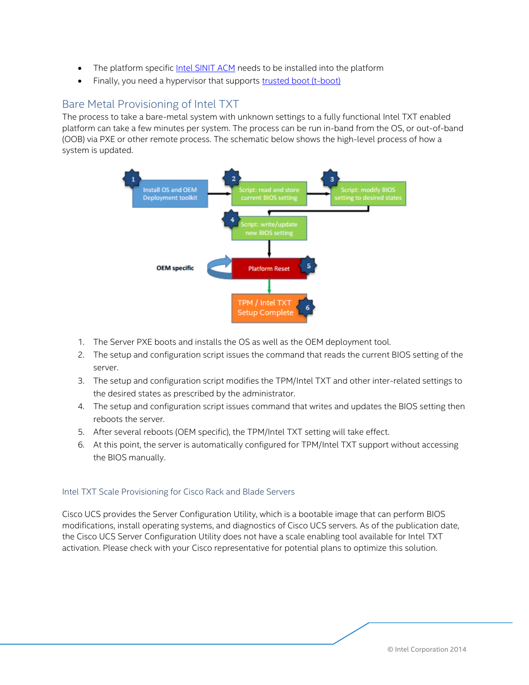- The platform specifi[c Intel SINIT ACM](https://software.intel.com/en-us/articles/intel-trusted-execution-technology?language=ru) needs to be installed into the platform
- Finally, you need a hypervisor that supports [trusted boot \(t-boot\)](http://sourceforge.net/projects/tboot/)

## <span id="page-10-0"></span>Bare Metal Provisioning of Intel TXT

The process to take a bare-metal system with unknown settings to a fully functional Intel TXT enabled platform can take a few minutes per system. The process can be run in-band from the OS, or out-of-band (OOB) via PXE or other remote process. The schematic below shows the high-level process of how a system is updated.



- 1. The Server PXE boots and installs the OS as well as the OEM deployment tool.
- 2. The setup and configuration script issues the command that reads the current BIOS setting of the server.
- 3. The setup and configuration script modifies the TPM/Intel TXT and other inter-related settings to the desired states as prescribed by the administrator.
- 4. The setup and configuration script issues command that writes and updates the BIOS setting then reboots the server.
- 5. After several reboots (OEM specific), the TPM/Intel TXT setting will take effect.
- 6. At this point, the server is automatically configured for TPM/Intel TXT support without accessing the BIOS manually.

## <span id="page-10-1"></span>Intel TXT Scale Provisioning for Cisco Rack and Blade Servers

Cisco UCS provides the Server Configuration Utility, which is a bootable image that can perform BIOS modifications, install operating systems, and diagnostics of Cisco UCS servers. As of the publication date, the Cisco UCS Server Configuration Utility does not have a scale enabling tool available for Intel TXT activation. Please check with your Cisco representative for potential plans to optimize this solution.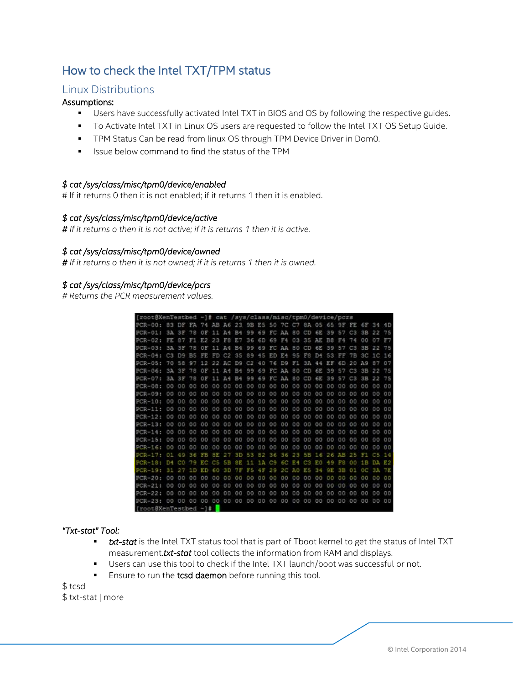# <span id="page-11-0"></span>How to check the Intel TXT/TPM status

## <span id="page-11-1"></span>Linux Distributions

## Assumptions:

- **Users have successfully activated Intel TXT in BIOS and OS by following the respective guides.**
- To Activate Intel TXT in Linux OS users are requested to follow the Intel TXT OS Setup Guide.
- **TPM Status Can be read from linux OS through TPM Device Driver in Dom0.**
- **ISSUE below command to find the status of the TPM**

## *\$ cat /sys/class/misc/tpm0/device/enabled*

# If it returns 0 then it is not enabled; if it returns 1 then it is enabled.

## *\$ cat /sys/class/misc/tpm0/device/active*

*# If it returns o then it is not active; if it is returns 1 then it is active.* 

## *\$ cat /sys/class/misc/tpm0/device/owned*

*# If it returns o then it is not owned; if it is returns 1 then it is owned.* 

## *\$ cat /sys/class/misc/tpm0/device/pcrs*

*# Returns the PCR measurement values.*

| [root@XenTestbed -]# cat /sys/class/misc/tpm0/device/pcrs |                |                |       |                |                |     |           |     |                      |       |                |                 |                |     |                |      |                |     |                |    |
|-----------------------------------------------------------|----------------|----------------|-------|----------------|----------------|-----|-----------|-----|----------------------|-------|----------------|-----------------|----------------|-----|----------------|------|----------------|-----|----------------|----|
| $PCR-00:$                                                 | 83             | DF.            | FA 74 |                | AB A6 23       |     |           |     | 9B ES 50 7C C7 8A 05 |       |                |                 |                |     | 65             | 9F   | FE 6F          |     | 34             | 4D |
| $PCR-01$ :                                                | 3A             | 33             | 78    | OF             | 11             | 具板  | <b>B4</b> | 99  | 69                   | FC.   | AA             | BO <sub>1</sub> | CD             | 6E  | 39             | 57   | C3             | 38  | 22             | 75 |
| $PCR = 0.2$ :                                             | Ŀ              |                |       | E2             | 23             | F8  | P.        | 36  | 6D                   | 69    | F4             | 03              | 35             | AE  | B.8            |      | 74             | 00  |                | FT |
| $PCR-03:$                                                 | 3A             | 3F             | 78    | ΟF             |                | A4  | <b>B4</b> | 99  | 69                   | FC AA |                | 80              | CD             | 6E  | 39             | 57   | C <sub>3</sub> | 3B  | 22             | 75 |
| $PCR-04:$                                                 | C <sub>3</sub> | D <sub>Q</sub> | B5    | FE             | FD             | C2  | 35        | 89  | 45                   | ED    | E4             | 95              | F8             | D4  | 53             | FF   | 7B             | 3C  | 1C             | 16 |
| $PCR-0.5:$                                                | 70             | 58             | 97    | 12             | 22             | AC  | D9        | C2  | 40                   | 76    | D9             | F1              | 3 <sub>A</sub> | 44  | EF             | 6D   | 20             | A9  | 87             | 07 |
| $PCR-0.6t$                                                | 3A             | 食家             | 78    | OF             | 11             | 通信  | 四斗        | 99  | 69                   | FC    | AA             | 80              | CD             | 6E  | 39             | 57   | C3             | 33  |                | 75 |
| $PCR = 07.1$                                              | 3A             | 日間             | 78    | OF             | 51.78          | 浜庄  | 34        | 99  | 69                   | FC AA |                | -80             | CD             | 6E. | 39             | 57   | C <sub>3</sub> | 3月  | 22             | 75 |
| $PCR - 08$ :                                              | 00             | 00             | 00    | 00             | 00             | 00  | 00        | 00  | 00                   | 00    | 0 <sub>0</sub> | 00              | 00             | 00  | O.O            | 00   | 00             | 00  | 00             | 00 |
| $PCR-09:$                                                 | 00             | 00             | 00    | 0 <sub>0</sub> | 00             | 00  | 00        | 00  | 00                   | 00    | 00             | 00              | 00             | 00  | 00             | 00   | 00             | OO  | 0 <sub>0</sub> | 00 |
| $PCR-10:$                                                 | OO             | 00             | 00    | 00             | 00             | 00  | 00        | 00  | 00                   | 00    | 00             | 00              | 00             | 00  | 00             | 00   | 00             | 00  | 00             | 00 |
| $PCR-11:$                                                 | OÖ             | OO             | 00    | 00             | 00             | 00  | 00        | GO. | 00                   | 00    | 0 <sup>o</sup> | 00              | 00             | 00  | 00             | 00   | 00             | OO  | 00             | 00 |
| $PCR-12:$                                                 | 00             | 00             | 00    | 00             | 00             | 00  | 00        | 00  | 00                   | 00    | 00             | 00              | 00             | 00  | 00             | 00   | 00             | OO  | 00             | 00 |
| $PCR-13:$                                                 | 00             | 00             | 00    | 00             | 00             | 00  | 00        | 00  | 00                   | 00    | 00             | 00              | 00             | OO  | 00             | 00   | 00             | 00  | 00             | 00 |
| $PCR-14$ :                                                | oo             | OO             | OO    | 00             | 00             | OG. | OD        | 00  | 00                   | 00    | 0 <sub>0</sub> | 00              | 00             | OG  | 00             | 00   | 00             | OO. | 00             | 00 |
| $PCR-15:$                                                 | 00             | 00             | 00    | 00             | 00             | 00  | 00        | 00  | 00                   | 00    | 0 <sub>0</sub> | 00              | 00             | 00  | 0 <sub>0</sub> | 00   | 00             | 00  | 00             | 00 |
| $PCR-IR$                                                  | 00             | 0 <sub>0</sub> | 00    | D <sub>0</sub> | 00             | 00  | 60        | 00  | 00                   | 00    | 00             | 00              | 00             | 00  | 00             | 00   | 00             | 00  | 00             | 00 |
| $PCR = 17.$                                               | 01             |                | 36    | F              | ßΕ             |     | 3 D       | 53  | 82                   | 36    | 36             | 23              | 5Β             | 16  | 26             | 7. P | эs             |     | n s            | 14 |
| $PQR-18:$                                                 | D4             | cо             | 79    | EO             | O <sub>5</sub> | 58  | 3 E       | 11  | 1 A                  | C9    | £О             | E 4             | GB.            | ЮO  | 49             | FВ   | ٥o             | 18  | ÞÃ             | E2 |
| $PCR-19$                                                  | 31             | 27             | 1D    | ËĐ             | 60             | ЗĐ  | 78        | 55  | 4 F                  | 29    | 20             | E.              | £S             | 94  | ЭE             | ĠВ   | 01             | ОĖ  | 9 A            | 72 |
| $FCR-20:$                                                 | 00             | 00             | 00    | 0 <sup>0</sup> | 00             | OO  | OD        | 00  | oo                   | oo    | OO.            | oo              | 00             | OO  | a o            | oo   | D0             | O O | O O            | 00 |
| $PCR = 21:$                                               | 00             | 0 <sup>0</sup> | 00    | 00             | OO             | 00  | 00        | 00  | 00                   | 00    | 00             | 00              | 00             | 00  | 00             | OO   | 00             | 0O  | 00             | 00 |
| $PCR-22:$                                                 | 00             | 00             | 00    | 00             | 00             | 00  | 00        | 00  | 00                   | 00    | 0 <sup>0</sup> | 00              | 00             | OO  | 00             | 00   | 00             | 00  | oo             | 00 |
| $PCR-23:$                                                 | 80             | 00             | 00    | 00             | 00 00 00       |     |           |     | 00 00                | 00    | 00             | 0 <sup>0</sup>  | 00             | 00  | 00             | 00   | 00             | 00  | 00             | 00 |
| [root@XenTestbed ~]#                                      |                |                |       |                |                |     |           |     |                      |       |                |                 |                |     |                |      |                |     |                |    |

## *"Txt-stat" Tool:*

- **txt-stat** is the Intel TXT status tool that is part of Tboot kernel to get the status of Intel TXT measurement.*txt-stat* tool collects the information from RAM and displays.
- Users can use this tool to check if the Intel TXT launch/boot was successful or not.
- **Ensure to run the tcsd daemon** before running this tool.

\$ tcsd \$ txt-stat | more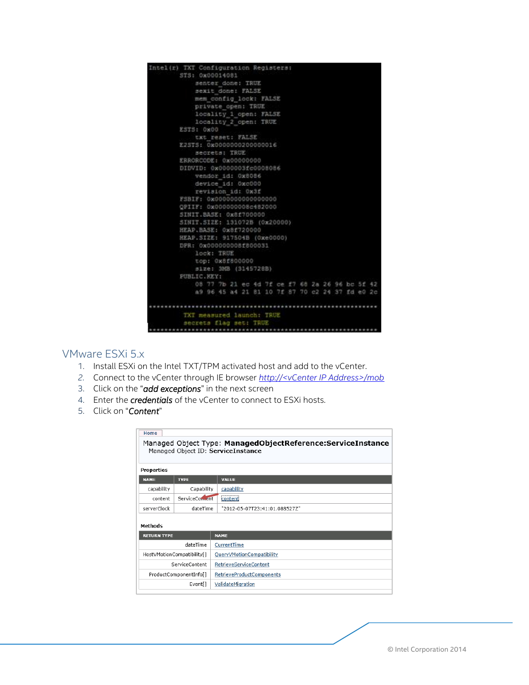

## <span id="page-12-0"></span>VMware ESXi 5.x

- 1. Install ESXi on the Intel TXT/TPM activated host and add to the vCenter.
- *2.* Connect to the vCenter through IE browser *http://<vCenter IP Address>/mob*
- 3. Click on the "*add exceptions*" in the next screen
- 4. Enter the *credentials* of the vCenter to connect to ESXi hosts.
- 5. Click on "*Content*"

| Home                                                                                              |                             |                               |  |  |  |  |  |  |  |
|---------------------------------------------------------------------------------------------------|-----------------------------|-------------------------------|--|--|--|--|--|--|--|
| Managed Object Type: ManagedObjectReference:ServiceInstance<br>Managed Object ID: ServiceInstance |                             |                               |  |  |  |  |  |  |  |
| Properties                                                                                        |                             |                               |  |  |  |  |  |  |  |
| <b>NAME</b>                                                                                       | <b>TYPE</b>                 | <b>VALUE</b>                  |  |  |  |  |  |  |  |
| capability                                                                                        | Capability                  | capability                    |  |  |  |  |  |  |  |
| content                                                                                           | ServiceConcent<br>icontenti |                               |  |  |  |  |  |  |  |
| serverClock                                                                                       | dateTime                    | "2012-05-07T23:41:01.088527Z" |  |  |  |  |  |  |  |
| Methods                                                                                           |                             |                               |  |  |  |  |  |  |  |
| <b>RETURN TYPE</b>                                                                                |                             | <b>NAME</b>                   |  |  |  |  |  |  |  |
|                                                                                                   | dateTime                    | CurrentTime                   |  |  |  |  |  |  |  |
|                                                                                                   | HostVMotionCompatibility[]  | QueryVMotionCompatibility     |  |  |  |  |  |  |  |
|                                                                                                   | ServiceContent              | RetrieveServiceContent        |  |  |  |  |  |  |  |
|                                                                                                   | ProductComponentInfo[]      | RetrieveProductComponents     |  |  |  |  |  |  |  |
|                                                                                                   | Event[]                     | ValidateMigration             |  |  |  |  |  |  |  |